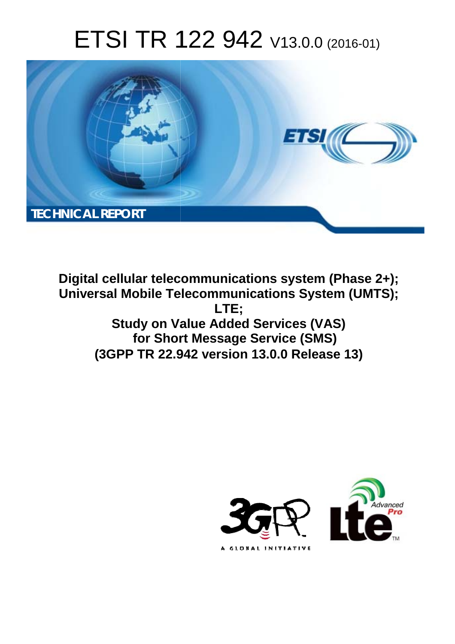# ETSI TR 122 942 V13.0.0 (2016-01)



**Digital cellular telecommunications system (Phase 2+); Universal Mobile Tel elecommunications System ( (UMTS); Study on Va Value Added Services (VAS) for Short Message Service (SMS) (3GPP TR 22.9 .942 version 13.0.0 Release 13 13) LTE;** 

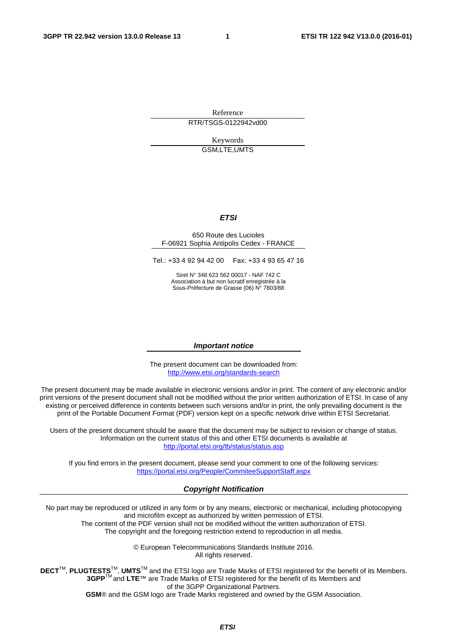Reference RTR/TSGS-0122942vd00

> Keywords GSM,LTE,UMTS

#### *ETSI*

#### 650 Route des Lucioles F-06921 Sophia Antipolis Cedex - FRANCE

Tel.: +33 4 92 94 42 00 Fax: +33 4 93 65 47 16

Siret N° 348 623 562 00017 - NAF 742 C Association à but non lucratif enregistrée à la Sous-Préfecture de Grasse (06) N° 7803/88

#### *Important notice*

The present document can be downloaded from: <http://www.etsi.org/standards-search>

The present document may be made available in electronic versions and/or in print. The content of any electronic and/or print versions of the present document shall not be modified without the prior written authorization of ETSI. In case of any existing or perceived difference in contents between such versions and/or in print, the only prevailing document is the print of the Portable Document Format (PDF) version kept on a specific network drive within ETSI Secretariat.

Users of the present document should be aware that the document may be subject to revision or change of status. Information on the current status of this and other ETSI documents is available at <http://portal.etsi.org/tb/status/status.asp>

If you find errors in the present document, please send your comment to one of the following services: <https://portal.etsi.org/People/CommiteeSupportStaff.aspx>

#### *Copyright Notification*

No part may be reproduced or utilized in any form or by any means, electronic or mechanical, including photocopying and microfilm except as authorized by written permission of ETSI.

The content of the PDF version shall not be modified without the written authorization of ETSI. The copyright and the foregoing restriction extend to reproduction in all media.

> © European Telecommunications Standards Institute 2016. All rights reserved.

**DECT**TM, **PLUGTESTS**TM, **UMTS**TM and the ETSI logo are Trade Marks of ETSI registered for the benefit of its Members. **3GPP**TM and **LTE**™ are Trade Marks of ETSI registered for the benefit of its Members and of the 3GPP Organizational Partners.

**GSM**® and the GSM logo are Trade Marks registered and owned by the GSM Association.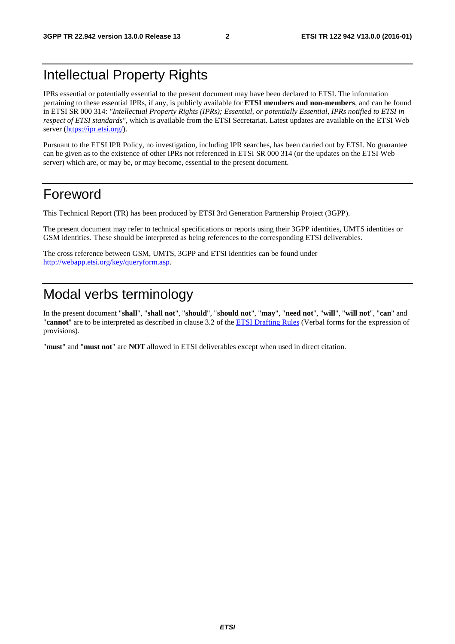## Intellectual Property Rights

IPRs essential or potentially essential to the present document may have been declared to ETSI. The information pertaining to these essential IPRs, if any, is publicly available for **ETSI members and non-members**, and can be found in ETSI SR 000 314: *"Intellectual Property Rights (IPRs); Essential, or potentially Essential, IPRs notified to ETSI in respect of ETSI standards"*, which is available from the ETSI Secretariat. Latest updates are available on the ETSI Web server [\(https://ipr.etsi.org/](https://ipr.etsi.org/)).

Pursuant to the ETSI IPR Policy, no investigation, including IPR searches, has been carried out by ETSI. No guarantee can be given as to the existence of other IPRs not referenced in ETSI SR 000 314 (or the updates on the ETSI Web server) which are, or may be, or may become, essential to the present document.

## Foreword

This Technical Report (TR) has been produced by ETSI 3rd Generation Partnership Project (3GPP).

The present document may refer to technical specifications or reports using their 3GPP identities, UMTS identities or GSM identities. These should be interpreted as being references to the corresponding ETSI deliverables.

The cross reference between GSM, UMTS, 3GPP and ETSI identities can be found under [http://webapp.etsi.org/key/queryform.asp.](http://webapp.etsi.org/key/queryform.asp)

## Modal verbs terminology

In the present document "**shall**", "**shall not**", "**should**", "**should not**", "**may**", "**need not**", "**will**", "**will not**", "**can**" and "**cannot**" are to be interpreted as described in clause 3.2 of the [ETSI Drafting Rules](http://portal.etsi.org/Help/editHelp!/Howtostart/ETSIDraftingRules.aspx) (Verbal forms for the expression of provisions).

"**must**" and "**must not**" are **NOT** allowed in ETSI deliverables except when used in direct citation.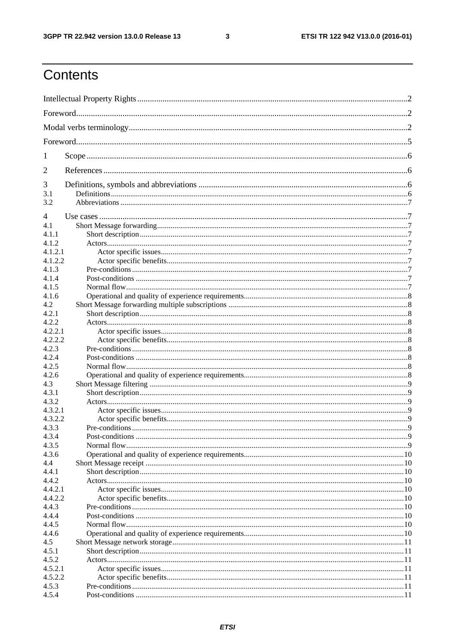$\mathbf{3}$ 

## Contents

| 1              |  |  |  |  |  |  |
|----------------|--|--|--|--|--|--|
| 2              |  |  |  |  |  |  |
| 3              |  |  |  |  |  |  |
| 3.1            |  |  |  |  |  |  |
| 3.2            |  |  |  |  |  |  |
| $\overline{4}$ |  |  |  |  |  |  |
| 4.1            |  |  |  |  |  |  |
| 4.1.1          |  |  |  |  |  |  |
| 4.1.2          |  |  |  |  |  |  |
| 4.1.2.1        |  |  |  |  |  |  |
| 4.1.2.2        |  |  |  |  |  |  |
| 4.1.3          |  |  |  |  |  |  |
| 4.1.4          |  |  |  |  |  |  |
| 4.1.5          |  |  |  |  |  |  |
| 4.1.6          |  |  |  |  |  |  |
| 4.2            |  |  |  |  |  |  |
| 4.2.1          |  |  |  |  |  |  |
| 4.2.2          |  |  |  |  |  |  |
| 4.2.2.1        |  |  |  |  |  |  |
| 4.2.2.2        |  |  |  |  |  |  |
| 4.2.3          |  |  |  |  |  |  |
| 4.2.4          |  |  |  |  |  |  |
| 4.2.5          |  |  |  |  |  |  |
| 4.2.6          |  |  |  |  |  |  |
| 4.3            |  |  |  |  |  |  |
| 4.3.1          |  |  |  |  |  |  |
| 4.3.2          |  |  |  |  |  |  |
| 4.3.2.1        |  |  |  |  |  |  |
| 4.3.2.2        |  |  |  |  |  |  |
| 4.3.3          |  |  |  |  |  |  |
| 4.3.4          |  |  |  |  |  |  |
| 4.3.5          |  |  |  |  |  |  |
| 4.3.6          |  |  |  |  |  |  |
| 4.4            |  |  |  |  |  |  |
| 4.4.1          |  |  |  |  |  |  |
| 4.4.2          |  |  |  |  |  |  |
| 4.4.2.1        |  |  |  |  |  |  |
| 4.4.2.2        |  |  |  |  |  |  |
| 4.4.3          |  |  |  |  |  |  |
| 4.4.4          |  |  |  |  |  |  |
| 4.4.5          |  |  |  |  |  |  |
| 4.4.6          |  |  |  |  |  |  |
| 4.5            |  |  |  |  |  |  |
| 4.5.1          |  |  |  |  |  |  |
| 4.5.2          |  |  |  |  |  |  |
| 4.5.2.1        |  |  |  |  |  |  |
| 4.5.2.2        |  |  |  |  |  |  |
| 4.5.3          |  |  |  |  |  |  |
| 4.5.4          |  |  |  |  |  |  |
|                |  |  |  |  |  |  |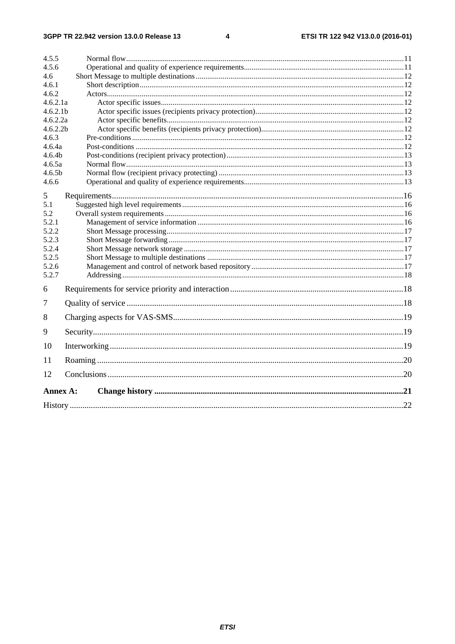#### $\overline{\mathbf{4}}$

| 4.5.5                |                      |  |  |  |  |  |  |
|----------------------|----------------------|--|--|--|--|--|--|
| 4.5.6                |                      |  |  |  |  |  |  |
| 4.6                  |                      |  |  |  |  |  |  |
| 4.6.1                |                      |  |  |  |  |  |  |
| 4.6.2                |                      |  |  |  |  |  |  |
| 4.6.2.1a             |                      |  |  |  |  |  |  |
|                      | 4.6.2.1 <sub>b</sub> |  |  |  |  |  |  |
| 4.6.2.2a             |                      |  |  |  |  |  |  |
| 4.6.2.2 <sub>b</sub> |                      |  |  |  |  |  |  |
| 4.6.3                |                      |  |  |  |  |  |  |
| 4.6.4a               |                      |  |  |  |  |  |  |
| 4.6.4 <sub>b</sub>   |                      |  |  |  |  |  |  |
| 4.6.5a               |                      |  |  |  |  |  |  |
| 4.6.5 <sub>b</sub>   |                      |  |  |  |  |  |  |
| 4.6.6                |                      |  |  |  |  |  |  |
| 5                    |                      |  |  |  |  |  |  |
| 5.1                  |                      |  |  |  |  |  |  |
| 5.2                  |                      |  |  |  |  |  |  |
| 5.2.1                |                      |  |  |  |  |  |  |
| 5.2.2                |                      |  |  |  |  |  |  |
| 5.2.3                |                      |  |  |  |  |  |  |
| 5.2.4                |                      |  |  |  |  |  |  |
| 5.2.5                |                      |  |  |  |  |  |  |
| 5.2.6                |                      |  |  |  |  |  |  |
| 5.2.7                |                      |  |  |  |  |  |  |
| 6                    |                      |  |  |  |  |  |  |
| 7                    |                      |  |  |  |  |  |  |
| 8                    |                      |  |  |  |  |  |  |
| 9                    |                      |  |  |  |  |  |  |
| 10                   |                      |  |  |  |  |  |  |
| 11                   |                      |  |  |  |  |  |  |
| 12                   |                      |  |  |  |  |  |  |
| Annex A:             |                      |  |  |  |  |  |  |
|                      |                      |  |  |  |  |  |  |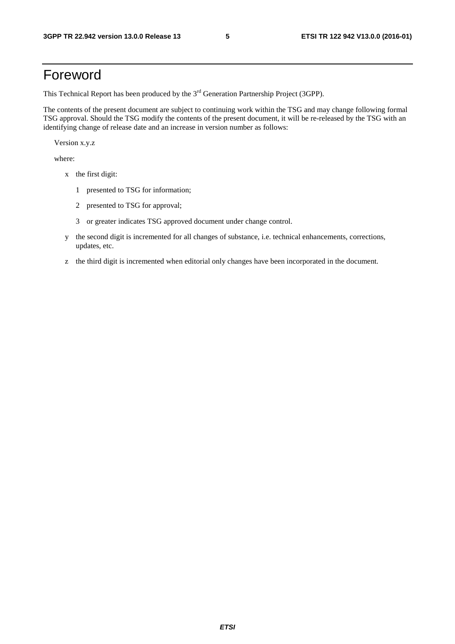## Foreword

This Technical Report has been produced by the  $3<sup>rd</sup>$  Generation Partnership Project (3GPP).

The contents of the present document are subject to continuing work within the TSG and may change following formal TSG approval. Should the TSG modify the contents of the present document, it will be re-released by the TSG with an identifying change of release date and an increase in version number as follows:

Version x.y.z

where:

- x the first digit:
	- 1 presented to TSG for information;
	- 2 presented to TSG for approval;
	- 3 or greater indicates TSG approved document under change control.
- y the second digit is incremented for all changes of substance, i.e. technical enhancements, corrections, updates, etc.
- z the third digit is incremented when editorial only changes have been incorporated in the document.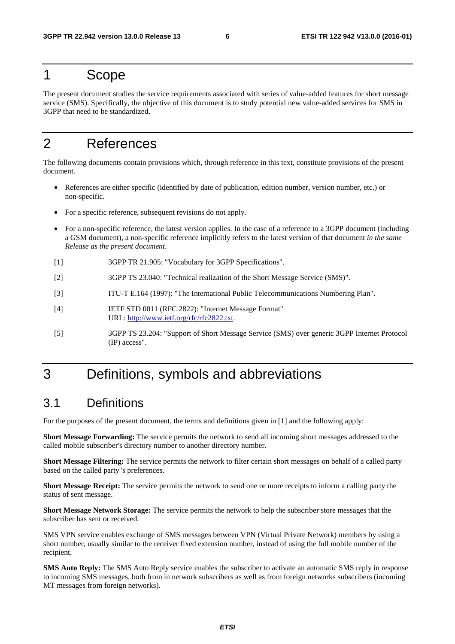## 1 Scope

The present document studies the service requirements associated with series of value-added features for short message service (SMS). Specifically, the objective of this document is to study potential new value-added services for SMS in 3GPP that need to be standardized.

## 2 References

The following documents contain provisions which, through reference in this text, constitute provisions of the present document.

- References are either specific (identified by date of publication, edition number, version number, etc.) or non-specific.
- For a specific reference, subsequent revisions do not apply.
- For a non-specific reference, the latest version applies. In the case of a reference to a 3GPP document (including a GSM document), a non-specific reference implicitly refers to the latest version of that document *in the same Release as the present document*.
- [1] 3GPP TR 21.905: "Vocabulary for 3GPP Specifications".
- [2] 3GPP TS 23.040: "Technical realization of the Short Message Service (SMS)".
- [3] ITU-T E.164 (1997): "The International Public Telecommunications Numbering Plan".
- [4] IETF STD 0011 (RFC 2822): "Internet Message Format" URL: http://www.ietf.org/rfc/rfc2822.txt.
- [5] 3GPP TS 23.204: "Support of Short Message Service (SMS) over generic 3GPP Internet Protocol (IP) access".

## 3 Definitions, symbols and abbreviations

## 3.1 Definitions

For the purposes of the present document, the terms and definitions given in [1] and the following apply:

**Short Message Forwarding:** The service permits the network to send all incoming short messages addressed to the called mobile subscriber's directory number to another directory number.

**Short Message Filtering:** The service permits the network to filter certain short messages on behalf of a called party based on the called party"s preferences.

**Short Message Receipt:** The service permits the network to send one or more receipts to inform a calling party the status of sent message.

**Short Message Network Storage:** The service permits the network to help the subscriber store messages that the subscriber has sent or received.

SMS VPN service enables exchange of SMS messages between VPN (Virtual Private Network) members by using a short number, usually similar to the receiver fixed extension number, instead of using the full mobile number of the recipient.

**SMS Auto Reply:** The SMS Auto Reply service enables the subscriber to activate an automatic SMS reply in response to incoming SMS messages, both from in network subscribers as well as from foreign networks subscribers (incoming MT messages from foreign networks).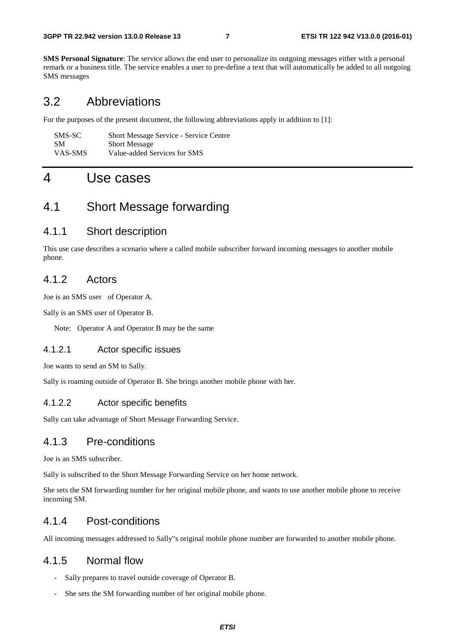**SMS Personal Signature**: The service allows the end user to personalize its outgoing messages either with a personal remark or a business title. The service enables a user to pre-define a text that will automatically be added to all outgoing SMS messages

## 3.2 Abbreviations

For the purposes of the present document, the following abbreviations apply in addition to [1]:

| SMS-SC    | <b>Short Message Service - Service Centre</b> |
|-----------|-----------------------------------------------|
| <b>SM</b> | <b>Short Message</b>                          |
| VAS-SMS   | Value-added Services for SMS                  |

## 4 Use cases

## 4.1 Short Message forwarding

## 4.1.1 Short description

This use case describes a scenario where a called mobile subscriber forward incoming messages to another mobile phone.

### 4.1.2 Actors

Joe is an SMS user of Operator A.

Sally is an SMS user of Operator B.

Note: Operator A and Operator B may be the same

#### 4.1.2.1 Actor specific issues

Joe wants to send an SM to Sally.

Sally is roaming outside of Operator B. She brings another mobile phone with her.

#### 4.1.2.2 Actor specific benefits

Sally can take advantage of Short Message Forwarding Service.

### 4.1.3 Pre-conditions

Joe is an SMS subscriber.

Sally is subscribed to the Short Message Forwarding Service on her home network.

She sets the SM forwarding number for her original mobile phone, and wants to use another mobile phone to receive incoming SM.

## 4.1.4 Post-conditions

All incoming messages addressed to Sally"s original mobile phone number are forwarded to another mobile phone.

### 4.1.5 Normal flow

- Sally prepares to travel outside coverage of Operator B.
- She sets the SM forwarding number of her original mobile phone.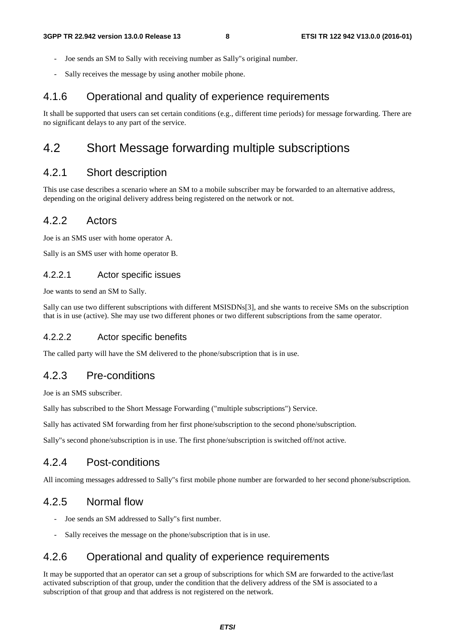- Joe sends an SM to Sally with receiving number as Sally"s original number.
- Sally receives the message by using another mobile phone.

### 4.1.6 Operational and quality of experience requirements

It shall be supported that users can set certain conditions (e.g., different time periods) for message forwarding. There are no significant delays to any part of the service.

## 4.2 Short Message forwarding multiple subscriptions

## 4.2.1 Short description

This use case describes a scenario where an SM to a mobile subscriber may be forwarded to an alternative address, depending on the original delivery address being registered on the network or not.

#### 4.2.2 Actors

Joe is an SMS user with home operator A.

Sally is an SMS user with home operator B.

#### 4.2.2.1 Actor specific issues

Joe wants to send an SM to Sally.

Sally can use two different subscriptions with different MSISDNs[3], and she wants to receive SMs on the subscription that is in use (active). She may use two different phones or two different subscriptions from the same operator.

#### 4.2.2.2 Actor specific benefits

The called party will have the SM delivered to the phone/subscription that is in use.

#### 4.2.3 Pre-conditions

Joe is an SMS subscriber.

Sally has subscribed to the Short Message Forwarding ("multiple subscriptions") Service.

Sally has activated SM forwarding from her first phone/subscription to the second phone/subscription.

Sally"s second phone/subscription is in use. The first phone/subscription is switched off/not active.

### 4.2.4 Post-conditions

All incoming messages addressed to Sally"s first mobile phone number are forwarded to her second phone/subscription.

## 4.2.5 Normal flow

- Joe sends an SM addressed to Sally"s first number.
- Sally receives the message on the phone/subscription that is in use.

## 4.2.6 Operational and quality of experience requirements

It may be supported that an operator can set a group of subscriptions for which SM are forwarded to the active/last activated subscription of that group, under the condition that the delivery address of the SM is associated to a subscription of that group and that address is not registered on the network.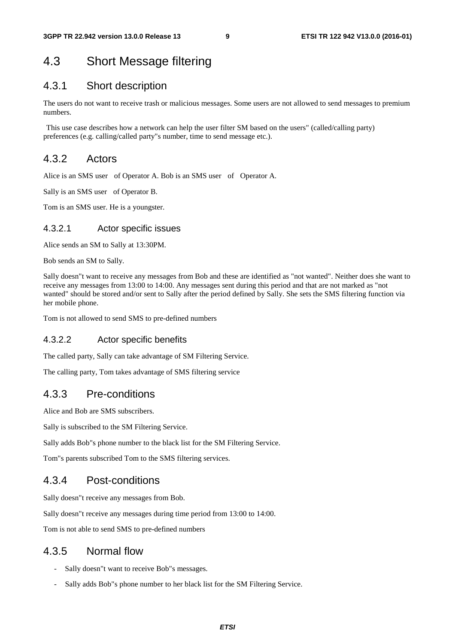## 4.3 Short Message filtering

## 4.3.1 Short description

The users do not want to receive trash or malicious messages. Some users are not allowed to send messages to premium numbers.

 This use case describes how a network can help the user filter SM based on the users" (called/calling party) preferences (e.g. calling/called party"s number, time to send message etc.).

### 4.3.2 Actors

Alice is an SMS user of Operator A. Bob is an SMS user of Operator A.

Sally is an SMS user of Operator B.

Tom is an SMS user. He is a youngster.

#### 4.3.2.1 Actor specific issues

Alice sends an SM to Sally at 13:30PM.

Bob sends an SM to Sally.

Sally doesn"t want to receive any messages from Bob and these are identified as "not wanted". Neither does she want to receive any messages from 13:00 to 14:00. Any messages sent during this period and that are not marked as "not wanted" should be stored and/or sent to Sally after the period defined by Sally. She sets the SMS filtering function via her mobile phone.

Tom is not allowed to send SMS to pre-defined numbers

#### 4.3.2.2 Actor specific benefits

The called party, Sally can take advantage of SM Filtering Service.

The calling party, Tom takes advantage of SMS filtering service

### 4.3.3 Pre-conditions

Alice and Bob are SMS subscribers.

Sally is subscribed to the SM Filtering Service.

Sally adds Bob"s phone number to the black list for the SM Filtering Service.

Tom"s parents subscribed Tom to the SMS filtering services.

### 4.3.4 Post-conditions

Sally doesn"t receive any messages from Bob.

Sally doesn"t receive any messages during time period from 13:00 to 14:00.

Tom is not able to send SMS to pre-defined numbers

### 4.3.5 Normal flow

- Sally doesn"t want to receive Bob"s messages.
- Sally adds Bob"s phone number to her black list for the SM Filtering Service.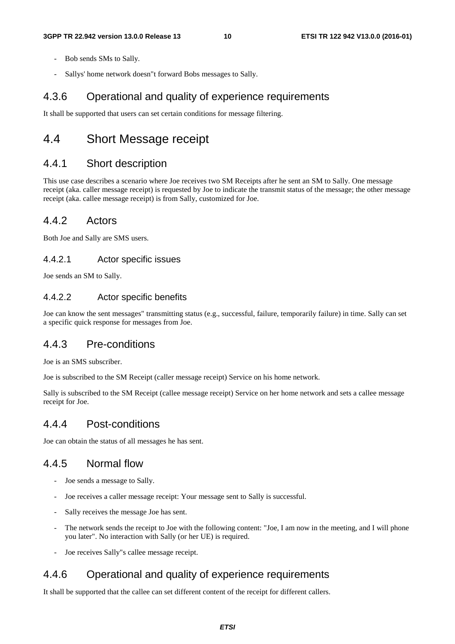- Bob sends SMs to Sally.
- Sallys' home network doesn"t forward Bobs messages to Sally.

## 4.3.6 Operational and quality of experience requirements

It shall be supported that users can set certain conditions for message filtering.

## 4.4 Short Message receipt

## 4.4.1 Short description

This use case describes a scenario where Joe receives two SM Receipts after he sent an SM to Sally. One message receipt (aka. caller message receipt) is requested by Joe to indicate the transmit status of the message; the other message receipt (aka. callee message receipt) is from Sally, customized for Joe.

### 4.4.2 Actors

Both Joe and Sally are SMS users.

#### 4.4.2.1 Actor specific issues

Joe sends an SM to Sally.

### 4.4.2.2 Actor specific benefits

Joe can know the sent messages" transmitting status (e.g., successful, failure, temporarily failure) in time. Sally can set a specific quick response for messages from Joe.

## 4.4.3 Pre-conditions

Joe is an SMS subscriber.

Joe is subscribed to the SM Receipt (caller message receipt) Service on his home network.

Sally is subscribed to the SM Receipt (callee message receipt) Service on her home network and sets a callee message receipt for Joe.

## 4.4.4 Post-conditions

Joe can obtain the status of all messages he has sent.

## 4.4.5 Normal flow

- Joe sends a message to Sally.
- Joe receives a caller message receipt: Your message sent to Sally is successful.
- Sally receives the message Joe has sent.
- The network sends the receipt to Joe with the following content: "Joe, I am now in the meeting, and I will phone you later". No interaction with Sally (or her UE) is required.
- Joe receives Sally"s callee message receipt.

## 4.4.6 Operational and quality of experience requirements

It shall be supported that the callee can set different content of the receipt for different callers.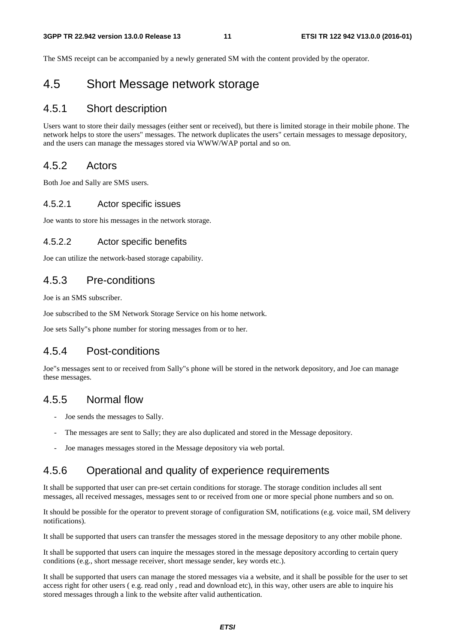The SMS receipt can be accompanied by a newly generated SM with the content provided by the operator.

## 4.5 Short Message network storage

### 4.5.1 Short description

Users want to store their daily messages (either sent or received), but there is limited storage in their mobile phone. The network helps to store the users" messages. The network duplicates the users" certain messages to message depository, and the users can manage the messages stored via WWW/WAP portal and so on.

## 4.5.2 Actors

Both Joe and Sally are SMS users.

#### 4.5.2.1 Actor specific issues

Joe wants to store his messages in the network storage.

#### 4.5.2.2 Actor specific benefits

Joe can utilize the network-based storage capability.

### 4.5.3 Pre-conditions

Joe is an SMS subscriber.

Joe subscribed to the SM Network Storage Service on his home network.

Joe sets Sally"s phone number for storing messages from or to her.

## 4.5.4 Post-conditions

Joe"s messages sent to or received from Sally"s phone will be stored in the network depository, and Joe can manage these messages.

### 4.5.5 Normal flow

- Joe sends the messages to Sally.
- The messages are sent to Sally; they are also duplicated and stored in the Message depository.
- Joe manages messages stored in the Message depository via web portal.

## 4.5.6 Operational and quality of experience requirements

It shall be supported that user can pre-set certain conditions for storage. The storage condition includes all sent messages, all received messages, messages sent to or received from one or more special phone numbers and so on.

It should be possible for the operator to prevent storage of configuration SM, notifications (e.g. voice mail, SM delivery notifications).

It shall be supported that users can transfer the messages stored in the message depository to any other mobile phone.

It shall be supported that users can inquire the messages stored in the message depository according to certain query conditions (e.g., short message receiver, short message sender, key words etc.).

It shall be supported that users can manage the stored messages via a website, and it shall be possible for the user to set access right for other users ( e.g. read only , read and download etc), in this way, other users are able to inquire his stored messages through a link to the website after valid authentication.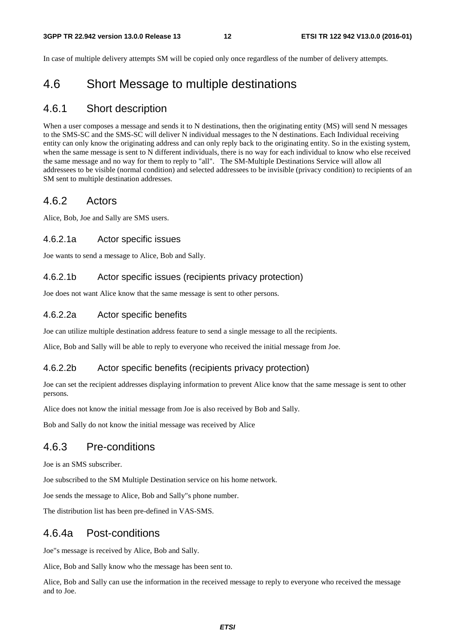In case of multiple delivery attempts SM will be copied only once regardless of the number of delivery attempts.

## 4.6 Short Message to multiple destinations

#### 4.6.1 Short description

When a user composes a message and sends it to N destinations, then the originating entity (MS) will send N messages to the SMS-SC and the SMS-SC will deliver N individual messages to the N destinations. Each Individual receiving entity can only know the originating address and can only reply back to the originating entity. So in the existing system, when the same message is sent to N different individuals, there is no way for each individual to know who else received the same message and no way for them to reply to "all". The SM-Multiple Destinations Service will allow all addressees to be visible (normal condition) and selected addressees to be invisible (privacy condition) to recipients of an SM sent to multiple destination addresses.

#### 4.6.2 Actors

Alice, Bob, Joe and Sally are SMS users.

#### 4.6.2.1a Actor specific issues

Joe wants to send a message to Alice, Bob and Sally.

#### 4.6.2.1b Actor specific issues (recipients privacy protection)

Joe does not want Alice know that the same message is sent to other persons.

#### 4.6.2.2a Actor specific benefits

Joe can utilize multiple destination address feature to send a single message to all the recipients.

Alice, Bob and Sally will be able to reply to everyone who received the initial message from Joe.

#### 4.6.2.2b Actor specific benefits (recipients privacy protection)

Joe can set the recipient addresses displaying information to prevent Alice know that the same message is sent to other persons.

Alice does not know the initial message from Joe is also received by Bob and Sally.

Bob and Sally do not know the initial message was received by Alice

## 4.6.3 Pre-conditions

Joe is an SMS subscriber.

Joe subscribed to the SM Multiple Destination service on his home network.

Joe sends the message to Alice, Bob and Sally"s phone number.

The distribution list has been pre-defined in VAS-SMS.

### 4.6.4a Post-conditions

Joe"s message is received by Alice, Bob and Sally.

Alice, Bob and Sally know who the message has been sent to.

Alice, Bob and Sally can use the information in the received message to reply to everyone who received the message and to Joe.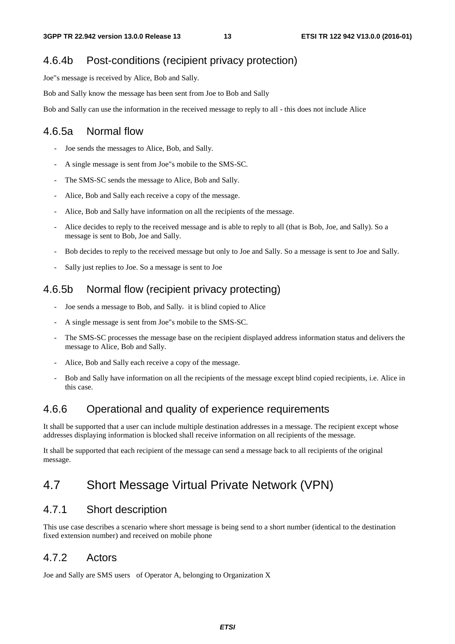## 4.6.4b Post-conditions (recipient privacy protection)

Joe"s message is received by Alice, Bob and Sally.

Bob and Sally know the message has been sent from Joe to Bob and Sally

Bob and Sally can use the information in the received message to reply to all - this does not include Alice

## 4.6.5a Normal flow

- Joe sends the messages to Alice, Bob, and Sally.
- A single message is sent from Joe"s mobile to the SMS-SC.
- The SMS-SC sends the message to Alice, Bob and Sally.
- Alice, Bob and Sally each receive a copy of the message.
- Alice, Bob and Sally have information on all the recipients of the message.
- Alice decides to reply to the received message and is able to reply to all (that is Bob, Joe, and Sally). So a message is sent to Bob, Joe and Sally.
- Bob decides to reply to the received message but only to Joe and Sally. So a message is sent to Joe and Sally.
- Sally just replies to Joe. So a message is sent to Joe

### 4.6.5b Normal flow (recipient privacy protecting)

- Joe sends a message to Bob, and Sally, it is blind copied to Alice
- A single message is sent from Joe"s mobile to the SMS-SC.
- The SMS-SC processes the message base on the recipient displayed address information status and delivers the message to Alice, Bob and Sally.
- Alice, Bob and Sally each receive a copy of the message.
- Bob and Sally have information on all the recipients of the message except blind copied recipients, i.e. Alice in this case.

## 4.6.6 Operational and quality of experience requirements

It shall be supported that a user can include multiple destination addresses in a message. The recipient except whose addresses displaying information is blocked shall receive information on all recipients of the message.

It shall be supported that each recipient of the message can send a message back to all recipients of the original message.

## 4.7 Short Message Virtual Private Network (VPN)

### 4.7.1 Short description

This use case describes a scenario where short message is being send to a short number (identical to the destination fixed extension number) and received on mobile phone

## 4.7.2 Actors

Joe and Sally are SMS users of Operator A, belonging to Organization X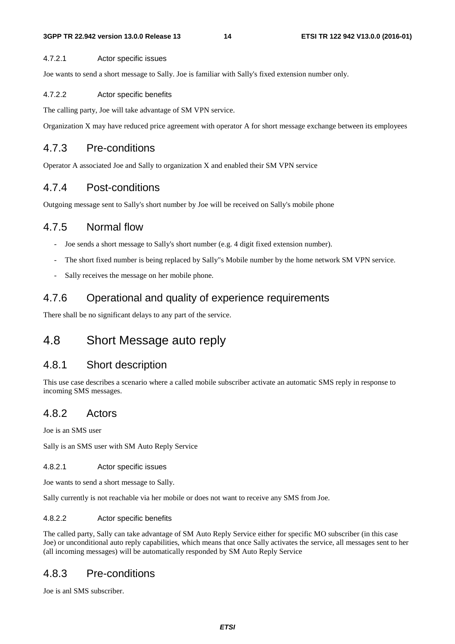#### 4.7.2.1 Actor specific issues

Joe wants to send a short message to Sally. Joe is familiar with Sally's fixed extension number only.

#### 4.7.2.2 Actor specific benefits

The calling party, Joe will take advantage of SM VPN service.

Organization X may have reduced price agreement with operator A for short message exchange between its employees

## 4.7.3 Pre-conditions

Operator A associated Joe and Sally to organization X and enabled their SM VPN service

## 4.7.4 Post-conditions

Outgoing message sent to Sally's short number by Joe will be received on Sally's mobile phone

## 4.7.5 Normal flow

- Joe sends a short message to Sally's short number (e.g. 4 digit fixed extension number).
- The short fixed number is being replaced by Sally"s Mobile number by the home network SM VPN service.
- Sally receives the message on her mobile phone.

## 4.7.6 Operational and quality of experience requirements

There shall be no significant delays to any part of the service.

## 4.8 Short Message auto reply

## 4.8.1 Short description

This use case describes a scenario where a called mobile subscriber activate an automatic SMS reply in response to incoming SMS messages.

## 4.8.2 Actors

Joe is an SMS user

Sally is an SMS user with SM Auto Reply Service

4.8.2.1 Actor specific issues

Joe wants to send a short message to Sally.

Sally currently is not reachable via her mobile or does not want to receive any SMS from Joe.

#### 4.8.2.2 Actor specific benefits

The called party, Sally can take advantage of SM Auto Reply Service either for specific MO subscriber (in this case Joe) or unconditional auto reply capabilities, which means that once Sally activates the service, all messages sent to her (all incoming messages) will be automatically responded by SM Auto Reply Service

## 4.8.3 Pre-conditions

Joe is anl SMS subscriber.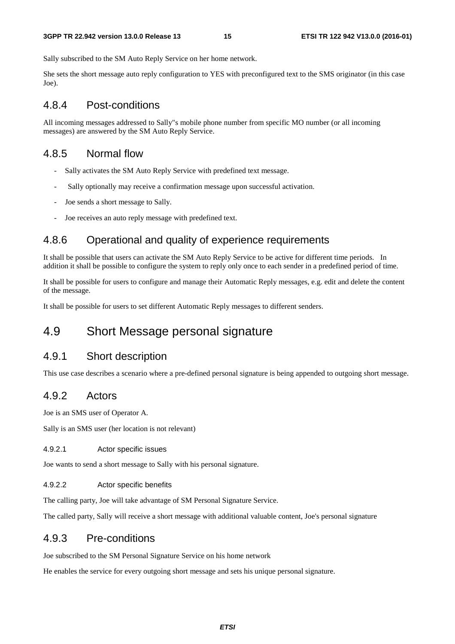Sally subscribed to the SM Auto Reply Service on her home network.

She sets the short message auto reply configuration to YES with preconfigured text to the SMS originator (in this case Joe).

## 4.8.4 Post-conditions

All incoming messages addressed to Sally"s mobile phone number from specific MO number (or all incoming messages) are answered by the SM Auto Reply Service.

## 4.8.5 Normal flow

- Sally activates the SM Auto Reply Service with predefined text message.
- Sally optionally may receive a confirmation message upon successful activation.
- Joe sends a short message to Sally.
- Joe receives an auto reply message with predefined text.

## 4.8.6 Operational and quality of experience requirements

It shall be possible that users can activate the SM Auto Reply Service to be active for different time periods. In addition it shall be possible to configure the system to reply only once to each sender in a predefined period of time.

It shall be possible for users to configure and manage their Automatic Reply messages, e.g. edit and delete the content of the message.

It shall be possible for users to set different Automatic Reply messages to different senders.

## 4.9 Short Message personal signature

### 4.9.1 Short description

This use case describes a scenario where a pre-defined personal signature is being appended to outgoing short message.

### 4.9.2 Actors

Joe is an SMS user of Operator A.

Sally is an SMS user (her location is not relevant)

#### 4.9.2.1 Actor specific issues

Joe wants to send a short message to Sally with his personal signature.

#### 4.9.2.2 Actor specific benefits

The calling party, Joe will take advantage of SM Personal Signature Service.

The called party, Sally will receive a short message with additional valuable content, Joe's personal signature

### 4.9.3 Pre-conditions

Joe subscribed to the SM Personal Signature Service on his home network

He enables the service for every outgoing short message and sets his unique personal signature.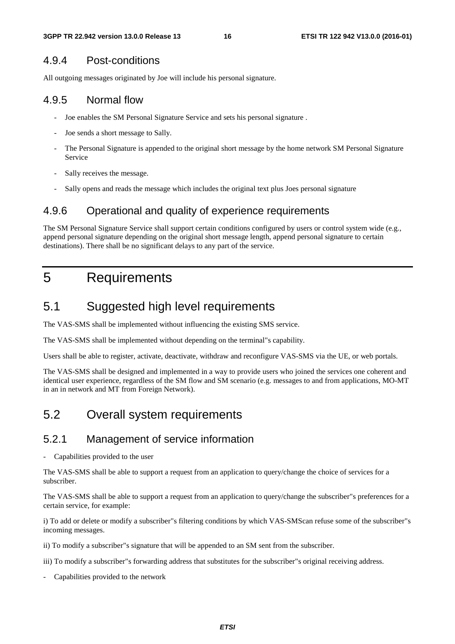## 4.9.4 Post-conditions

All outgoing messages originated by Joe will include his personal signature.

## 4.9.5 Normal flow

- Joe enables the SM Personal Signature Service and sets his personal signature .
- Joe sends a short message to Sally.
- The Personal Signature is appended to the original short message by the home network SM Personal Signature Service
- Sally receives the message.
- Sally opens and reads the message which includes the original text plus Joes personal signature

## 4.9.6 Operational and quality of experience requirements

The SM Personal Signature Service shall support certain conditions configured by users or control system wide (e.g., append personal signature depending on the original short message length, append personal signature to certain destinations). There shall be no significant delays to any part of the service.

## 5 Requirements

## 5.1 Suggested high level requirements

The VAS-SMS shall be implemented without influencing the existing SMS service.

The VAS-SMS shall be implemented without depending on the terminal"s capability.

Users shall be able to register, activate, deactivate, withdraw and reconfigure VAS-SMS via the UE, or web portals.

The VAS-SMS shall be designed and implemented in a way to provide users who joined the services one coherent and identical user experience, regardless of the SM flow and SM scenario (e.g. messages to and from applications, MO-MT in an in network and MT from Foreign Network).

## 5.2 Overall system requirements

## 5.2.1 Management of service information

Capabilities provided to the user

The VAS-SMS shall be able to support a request from an application to query/change the choice of services for a subscriber.

The VAS-SMS shall be able to support a request from an application to query/change the subscriber"s preferences for a certain service, for example:

i) To add or delete or modify a subscriber"s filtering conditions by which VAS-SMScan refuse some of the subscriber"s incoming messages.

ii) To modify a subscriber"s signature that will be appended to an SM sent from the subscriber.

iii) To modify a subscriber"s forwarding address that substitutes for the subscriber"s original receiving address.

Capabilities provided to the network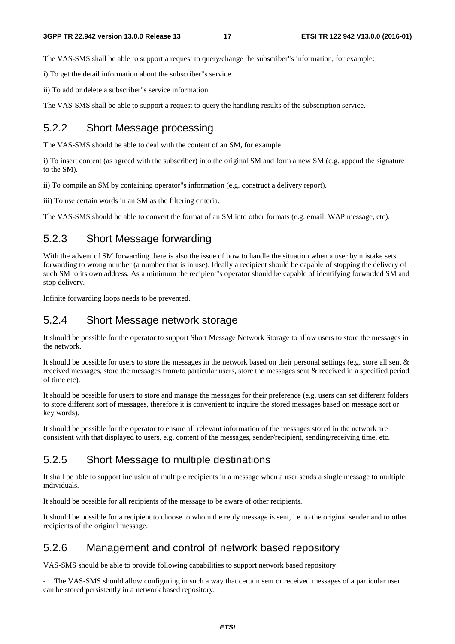The VAS-SMS shall be able to support a request to query/change the subscriber"s information, for example:

i) To get the detail information about the subscriber"s service.

ii) To add or delete a subscriber"s service information.

The VAS-SMS shall be able to support a request to query the handling results of the subscription service.

## 5.2.2 Short Message processing

The VAS-SMS should be able to deal with the content of an SM, for example:

i) To insert content (as agreed with the subscriber) into the original SM and form a new SM (e.g. append the signature to the SM).

ii) To compile an SM by containing operator"s information (e.g. construct a delivery report).

iii) To use certain words in an SM as the filtering criteria.

The VAS-SMS should be able to convert the format of an SM into other formats (e.g. email, WAP message, etc).

### 5.2.3 Short Message forwarding

With the advent of SM forwarding there is also the issue of how to handle the situation when a user by mistake sets forwarding to wrong number (a number that is in use). Ideally a recipient should be capable of stopping the delivery of such SM to its own address. As a minimum the recipient"s operator should be capable of identifying forwarded SM and stop delivery.

Infinite forwarding loops needs to be prevented.

### 5.2.4 Short Message network storage

It should be possible for the operator to support Short Message Network Storage to allow users to store the messages in the network.

It should be possible for users to store the messages in the network based on their personal settings (e.g. store all sent  $\&$ received messages, store the messages from/to particular users, store the messages sent & received in a specified period of time etc).

It should be possible for users to store and manage the messages for their preference (e.g. users can set different folders to store different sort of messages, therefore it is convenient to inquire the stored messages based on message sort or key words).

It should be possible for the operator to ensure all relevant information of the messages stored in the network are consistent with that displayed to users, e.g. content of the messages, sender/recipient, sending/receiving time, etc.

### 5.2.5 Short Message to multiple destinations

It shall be able to support inclusion of multiple recipients in a message when a user sends a single message to multiple individuals.

It should be possible for all recipients of the message to be aware of other recipients.

It should be possible for a recipient to choose to whom the reply message is sent, i.e. to the original sender and to other recipients of the original message.

## 5.2.6 Management and control of network based repository

VAS-SMS should be able to provide following capabilities to support network based repository:

- The VAS-SMS should allow configuring in such a way that certain sent or received messages of a particular user can be stored persistently in a network based repository.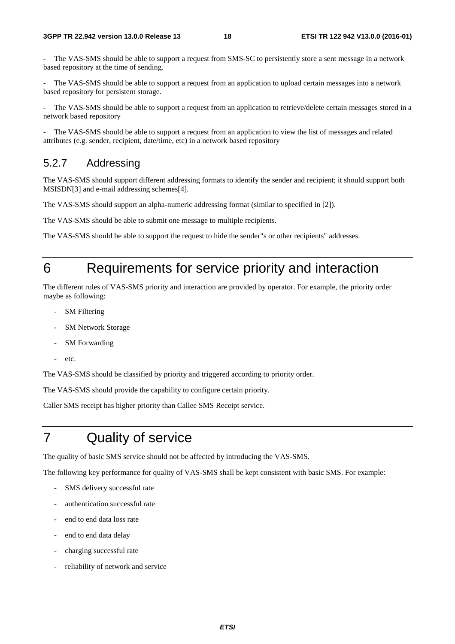The VAS-SMS should be able to support a request from SMS-SC to persistently store a sent message in a network based repository at the time of sending.

The VAS-SMS should be able to support a request from an application to upload certain messages into a network based repository for persistent storage.

The VAS-SMS should be able to support a request from an application to retrieve/delete certain messages stored in a network based repository

The VAS-SMS should be able to support a request from an application to view the list of messages and related attributes (e.g. sender, recipient, date/time, etc) in a network based repository

## 5.2.7 Addressing

The VAS-SMS should support different addressing formats to identify the sender and recipient; it should support both MSISDN[3] and e-mail addressing schemes[4].

The VAS-SMS should support an alpha-numeric addressing format (similar to specified in [2]).

The VAS-SMS should be able to submit one message to multiple recipients.

The VAS-SMS should be able to support the request to hide the sender"s or other recipients" addresses.

## 6 Requirements for service priority and interaction

The different rules of VAS-SMS priority and interaction are provided by operator. For example, the priority order maybe as following:

- **SM** Filtering
- SM Network Storage
- SM Forwarding
- etc.

The VAS-SMS should be classified by priority and triggered according to priority order.

The VAS-SMS should provide the capability to configure certain priority.

Caller SMS receipt has higher priority than Callee SMS Receipt service.

## 7 Quality of service

The quality of basic SMS service should not be affected by introducing the VAS-SMS.

The following key performance for quality of VAS-SMS shall be kept consistent with basic SMS. For example:

- SMS delivery successful rate
- authentication successful rate
- end to end data loss rate
- end to end data delay
- charging successful rate
- reliability of network and service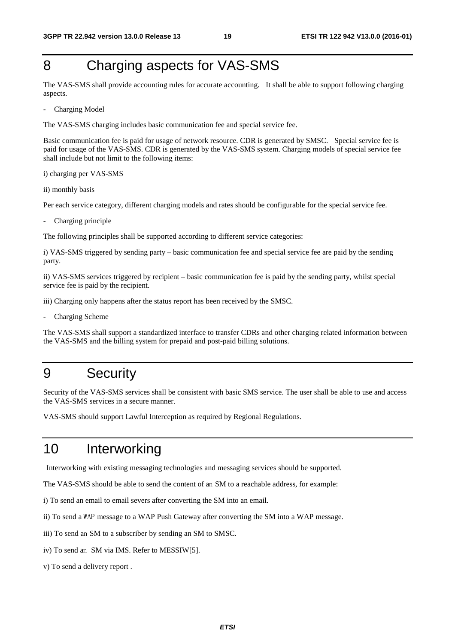## 8 Charging aspects for VAS-SMS

The VAS-SMS shall provide accounting rules for accurate accounting. It shall be able to support following charging aspects.

Charging Model

The VAS-SMS charging includes basic communication fee and special service fee.

Basic communication fee is paid for usage of network resource. CDR is generated by SMSC. Special service fee is paid for usage of the VAS-SMS. CDR is generated by the VAS-SMS system. Charging models of special service fee shall include but not limit to the following items:

i) charging per VAS-SMS

ii) monthly basis

Per each service category, different charging models and rates should be configurable for the special service fee.

Charging principle

The following principles shall be supported according to different service categories:

i) VAS-SMS triggered by sending party – basic communication fee and special service fee are paid by the sending party.

ii) VAS-SMS services triggered by recipient – basic communication fee is paid by the sending party, whilst special service fee is paid by the recipient.

iii) Charging only happens after the status report has been received by the SMSC.

Charging Scheme

The VAS-SMS shall support a standardized interface to transfer CDRs and other charging related information between the VAS-SMS and the billing system for prepaid and post-paid billing solutions.

## 9 Security

Security of the VAS-SMS services shall be consistent with basic SMS service. The user shall be able to use and access the VAS-SMS services in a secure manner.

VAS-SMS should support Lawful Interception as required by Regional Regulations.

## 10 Interworking

Interworking with existing messaging technologies and messaging services should be supported.

The VAS-SMS should be able to send the content of an SM to a reachable address, for example:

i) To send an email to email severs after converting the SM into an email.

ii) To send a WAP message to a WAP Push Gateway after converting the SM into a WAP message.

iii) To send an SM to a subscriber by sending an SM to SMSC.

- iv) To send an SM via IMS. Refer to MESSIW[5].
- v) To send a delivery report .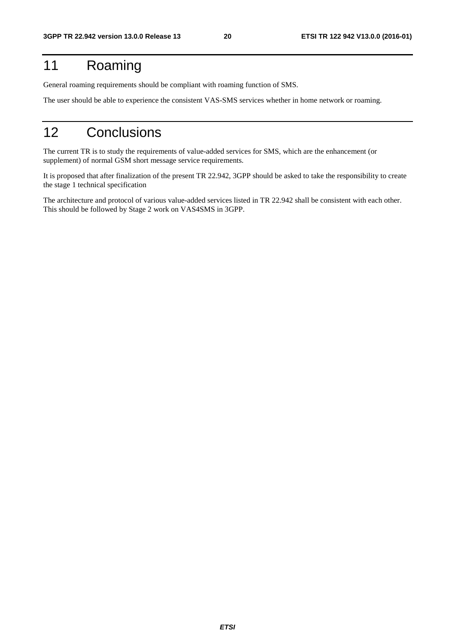## 11 Roaming

General roaming requirements should be compliant with roaming function of SMS.

The user should be able to experience the consistent VAS-SMS services whether in home network or roaming.

## 12 Conclusions

The current TR is to study the requirements of value-added services for SMS, which are the enhancement (or supplement) of normal GSM short message service requirements.

It is proposed that after finalization of the present TR 22.942, 3GPP should be asked to take the responsibility to create the stage 1 technical specification

The architecture and protocol of various value-added services listed in TR 22.942 shall be consistent with each other. This should be followed by Stage 2 work on VAS4SMS in 3GPP.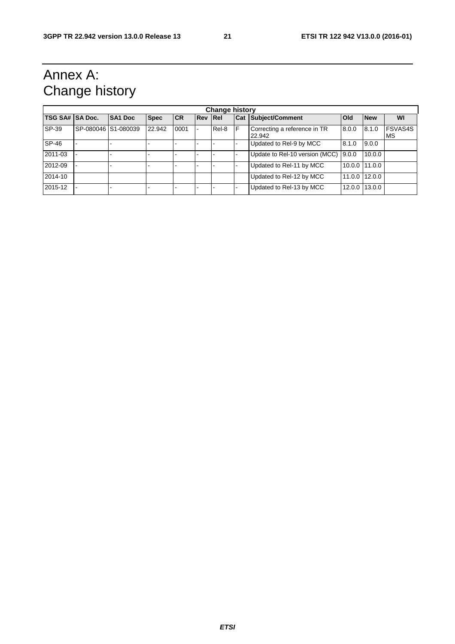## Annex A: Change history

| <b>Change history</b> |  |                     |             |           |                |       |   |                                        |        |               |                      |
|-----------------------|--|---------------------|-------------|-----------|----------------|-------|---|----------------------------------------|--------|---------------|----------------------|
| TSG SA# SA Doc.       |  | SA1 Doc             | <b>Spec</b> | <b>CR</b> | <b>Rev Rel</b> |       |   | Cat Subject/Comment                    | Old    | <b>New</b>    | WI                   |
| SP-39                 |  | SP-080046 S1-080039 | 22.942      | 0001      |                | Rel-8 | F | Correcting a reference in TR<br>22.942 | 8.0.0  | 8.1.0         | <b>FSVAS4S</b><br>MS |
| SP-46                 |  |                     |             |           |                |       |   | Updated to Rel-9 by MCC                | 8.1.0  | 9.0.0         |                      |
| 2011-03               |  |                     |             |           |                |       |   | Update to Rel-10 version (MCC)         | 9.0.0  | 10.0.0        |                      |
| 2012-09               |  |                     |             |           |                |       |   | Updated to Rel-11 by MCC               |        | 10.0.0 11.0.0 |                      |
| 2014-10               |  |                     |             |           |                |       |   | Updated to Rel-12 by MCC               |        | 11.0.0 12.0.0 |                      |
| 2015-12               |  |                     |             |           |                |       |   | Updated to Rel-13 by MCC               | 12.0.0 | 13.0.0        |                      |